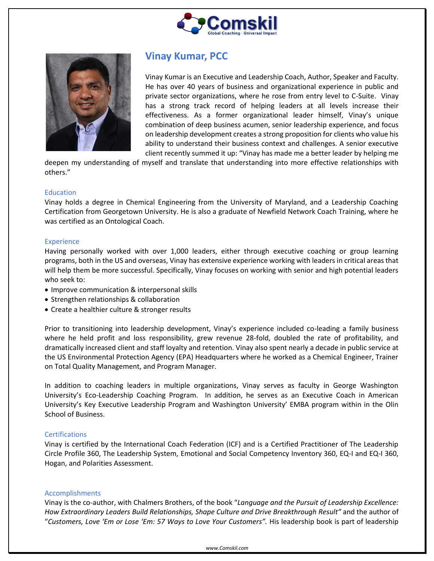



# **Vinay Kumar, PCC**

Vinay Kumar is an Executive and Leadership Coach, Author, Speaker and Faculty. He has over 40 years of business and organizational experience in public and private sector organizations, where he rose from entry level to C-Suite. Vinay has a strong track record of helping leaders at all levels increase their effectiveness. As a former organizational leader himself, Vinay's unique combination of deep business acumen, senior leadership experience, and focus on leadership development creates a strong proposition for clients who value his ability to understand their business context and challenges. A senior executive client recently summed it up: "Vinay has made me a better leader by helping me

deepen my understanding of myself and translate that understanding into more effective relationships with others."

### Education

Vinay holds a degree in Chemical Engineering from the University of Maryland, and a Leadership Coaching Certification from Georgetown University. He is also a graduate of Newfield Network Coach Training, where he was certified as an Ontological Coach.

### Experience

Having personally worked with over 1,000 leaders, either through executive coaching or group learning programs, both in the US and overseas, Vinay has extensive experience working with leaders in critical areas that will help them be more successful. Specifically, Vinay focuses on working with senior and high potential leaders who seek to:

- Improve communication & interpersonal skills
- Strengthen relationships & collaboration
- Create a healthier culture & stronger results

Prior to transitioning into leadership development, Vinay's experience included co-leading a family business where he held profit and loss responsibility, grew revenue 28-fold, doubled the rate of profitability, and dramatically increased client and staff loyalty and retention. Vinay also spent nearly a decade in public service at the US Environmental Protection Agency (EPA) Headquarters where he worked as a Chemical Engineer, Trainer on Total Quality Management, and Program Manager.

In addition to coaching leaders in multiple organizations, Vinay serves as faculty in George Washington University's Eco-Leadership Coaching Program. In addition, he serves as an Executive Coach in American University's Key Executive Leadership Program and Washington University' EMBA program within in the Olin School of Business.

# **Certifications**

Vinay is certified by the International Coach Federation (ICF) and is a Certified Practitioner of The Leadership Circle Profile 360, The Leadership System, Emotional and Social Competency Inventory 360, EQ-I and EQ-I 360, Hogan, and Polarities Assessment.

# Accomplishments

Vinay is the co-author, with Chalmers Brothers, of the book "*Language and the Pursuit of Leadership Excellence: How Extraordinary Leaders Build Relationships, Shape Culture and Drive Breakthrough Result"* and the author of "*Customers, Love 'Em or Lose 'Em: 57 Ways to Love Your Customers".* His leadership book is part of leadership